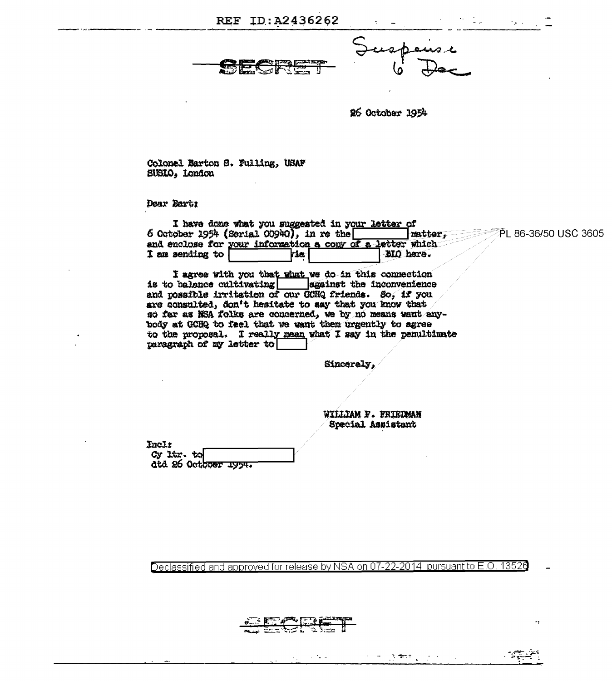| REF ID:A2436262 |  |  |
|-----------------|--|--|
|-----------------|--|--|

 $\mathcal{O}(\mathcal{O}_\mathcal{O})$  . The  $\mathcal{O}(\mathcal{O}_\mathcal{O})$ 

 $\sim 10^{-1}$ 

26 October 1954

Colonel Barton S. Fulling, USAF SUSIO, London

Dear Bartt

| I have done what you suggested in your letter of          |           |                       |
|-----------------------------------------------------------|-----------|-----------------------|
| 6 October 1954 (Serial 00940), in re the                  | matter    | ຶPL 86-36/50 USC 3605 |
| and enclose for your information a copy of a letter which |           |                       |
| <b>I</b> am sending to $\sqrt{ }$<br>ria                  | BIO here. |                       |

I agree with you that what we do in this connection<br>is to balance cultivating sgainst the inconvenience and possible irritation of our GCHQ friends. So, if you are consulted, don't hesitate to say that you know that so far as NSA folks are concerned, we by no means want anybody at GCHQ to feel that we want them urgently to agree to the proposal. I really mean what I say in the penultimate paragraph of my letter to

Sincerely,

WILLIAM F. FRIEDMAN Special Assistant

 $\epsilon_{\rm{max}}$ 

**Commercial** 

 $\mathbb{R}^2$ 

Inclt Cy ltr. to dtd 26 October 1954.

Declassified and approved for release by NSA on 07-22-2014 pursuant to E.O. 13526

ਟ∷

રું પ્ર<del>ે</del>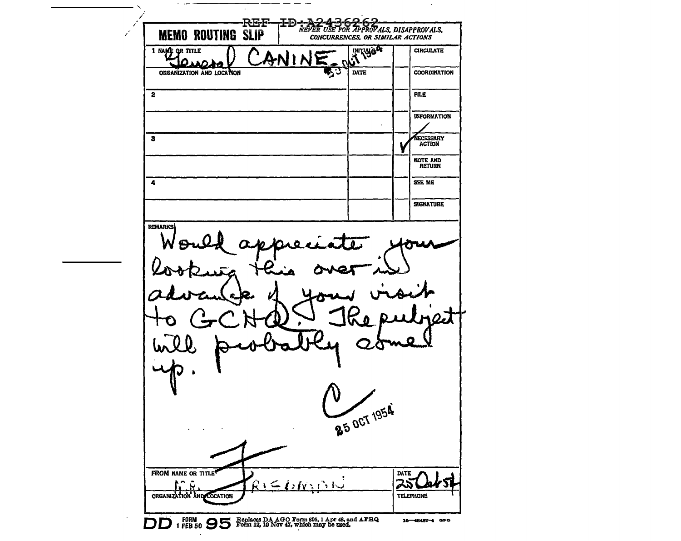~~~~~~~~ ' */*  -------------RB-F~B-. ..:a-;Hlr~~~----------- NEVE!!. USE !'IJ!!. l!.!'!'!!.IJVALS, DISAPPROVALS, **MEMO ROUTING SLIP CONCURRENCES, OR SIMILAR ACTIONS** <u>l </u> **INITIALS OF** 1 NAME OR TITLE **CIRCULATE** ANIN ORGANIZATION AND LOCATION ्र DATE **COORDINATION** 2 FILE TO A REPORT OF THE SECOND ASSOCIATE AND RELEASED FOR THE SECOND ASSOCIATE AND RELEASED FOR THE SECOND ASSOCIATE AND RELEASED FOR THE SECOND ASSOCIATE AND RELEASED FOR THE SECOND ASSOCIATE AND RELEASED FOR THE SECOND INFORMATION **NECESSARY**<br>ACTION 3 NOTE AND RETURN 4 SEE ME **SIGNATURE REMARKS** O -25 OCT 1954 FROM NAME OR TITLE **DATE**  $R \subseteq \{sh\}$   $\cup$ 251 いへ Ŵ ORGANIZATION AND LOCATION **TELEPHONE**  $DD$  1 FEB 50  $95$  Form 12, 10 Nov 47, which may be used. 16-48487-4 GPO

 $\sim$   $\sim$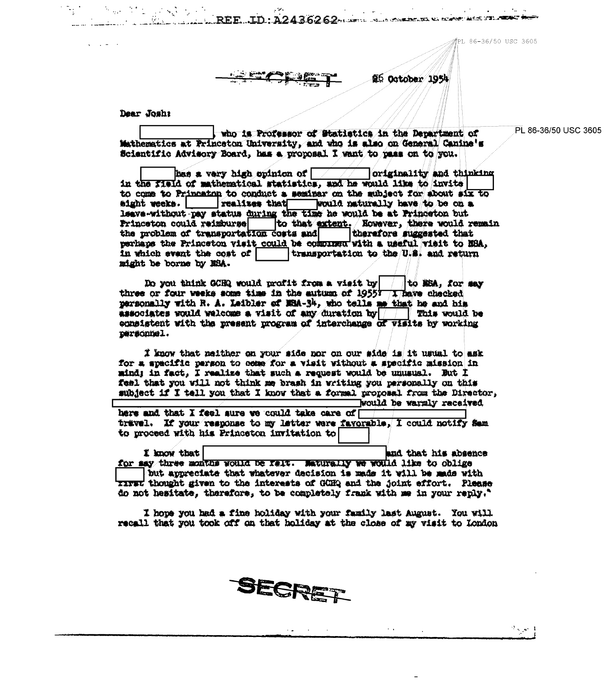PL 86-36/50 USC 3605

26 October 1954

Dear Joshi

and the state of

who is Professor of Statistics in the Department of Mathematics at Princeton University, and who is also on General Canine's Scientific Advisory Board, has a proposal I want to pass on to you.

REE LD:A2436262

has a very high opinion of  $\vert$ originality and thinking in the field of mathematical statistics, and he would like to invite to come to Princaton to conduct a seminar on the mubiect for about six to eight weeks. Trealises that would naturally have to be on a leave without pay status during the time he would be at Princeton but to that extent. Nowever, there would remain Princeton could reimburse the problem of transportation costs and therefore suggested that perhaps the Princeton visit could be compress with a useful visit to NBA, in which event the cost of transportation to the U.S. and return might be borne by NSA.

Do you think GCHQ would neafit from a visit by | | | to MSA, for say three or four weeks some time in the autumn of 1955? (I have checked personally with R. A. Leibler of MRA-34, who tells me that he and his associates would welcome a visit of any duration by  $\boxed{\phantom{a}}$  This would be eonsistent with the present program of interchange of visits by working personnel.

I know that neither on your side nor on our side is it usual to ask for a specific person to come for a visit without a specific mission in mind; in fact, I realize that such a request would be unusual. But I feel that you will not think me brash in writing you personally on this subject if I tell you that I know that a formal proposal from the Director. would be warmly received

here and that I feel sure we could take care of travel. If your response to my letter were favorable, I could notify Sam to proceed with his Princeton invitation to

I know that and that his absence for say three months would be falt. Maturally we would like to oblige but appreciate that whatever decision is made it will be made with xxxxv thought given to the interests of GCHQ and the joint effort. Please do not hesitate, therefore, to be completely frank with me in your reply."

I hope you had a fine holiday with your family last August. You will recall that you took off on that holiday at the close of my visit to London



PL 86-36/50 USC 3605